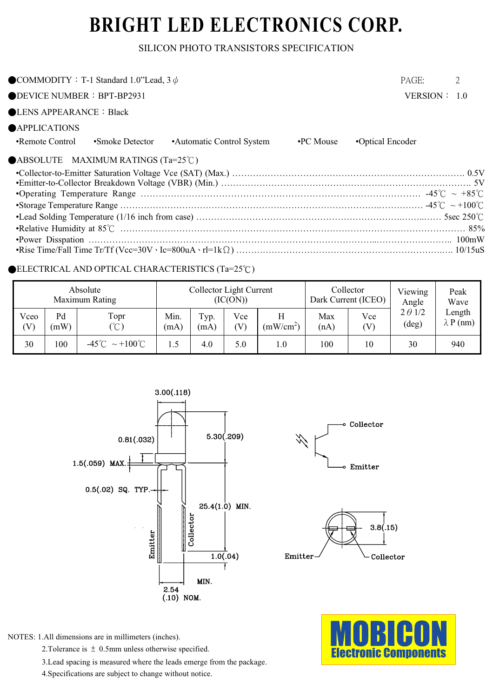# BRIGHT LED ELECTRONICS CORP.

### SILICON PHOTO TRANSISTORS SPECIFICATION

| COMMODITY : T-1 Standard 1.0"Lead, $3 \phi$                                  | PAGE:            | 2 |
|------------------------------------------------------------------------------|------------------|---|
| $\bigcirc$ DEVICE NUMBER : BPT-BP2931                                        | VERSION: 1.0     |   |
| $\bigcirc$ LENS APPEARANCE : Black                                           |                  |   |
| <b>APPLICATIONS</b>                                                          |                  |   |
| •Remote Control<br>•Automatic Control System<br>•PC Mouse<br>•Smoke Detector | •Optical Encoder |   |
| $\bigcirc$ ABSOLUTE MAXIMUM RATINGS (Ta=25°C)                                |                  |   |
|                                                                              |                  |   |
|                                                                              |                  |   |
|                                                                              |                  |   |
|                                                                              |                  |   |
|                                                                              |                  |   |
|                                                                              |                  |   |
|                                                                              |                  |   |

#### $\bullet$ ELECTRICAL AND OPTICAL CHARACTERISTICS (Ta=25°C)

|             |            | Absolute<br>Maximum Rating            | Collector Light Current<br>(IC(ON)) |              |                                   | Collector<br>Dark Current (ICEO) |             | Viewing<br>Angle | Peak<br>Wave                     |                            |
|-------------|------------|---------------------------------------|-------------------------------------|--------------|-----------------------------------|----------------------------------|-------------|------------------|----------------------------------|----------------------------|
| Vceo<br>(V) | Pd<br>(mW) | Topr<br>(°C)                          | Min.<br>(mA)                        | Typ.<br>(mA) | Vce<br>$\left( \mathrm{V}\right)$ | (mW/cm <sup>2</sup> )            | Max<br>(nA) | Vce<br>(V)       | $2 \theta$ 1/2<br>$(\text{deg})$ | Length<br>$\lambda$ P (nm) |
| 30          | 100        | $-45^{\circ}$ C ~ +100 <sup>°</sup> C | 1.5                                 | 4.0          | 5.0                               | $_{\rm 1.0}$                     | 100         | 10               | 30                               | 940                        |





2. Tolerance is  $\pm$  0.5mm unless otherwise specified.

3. Lead spacing is measured where the leads emerge from the package.

4. Specifications are subject to change without notice.





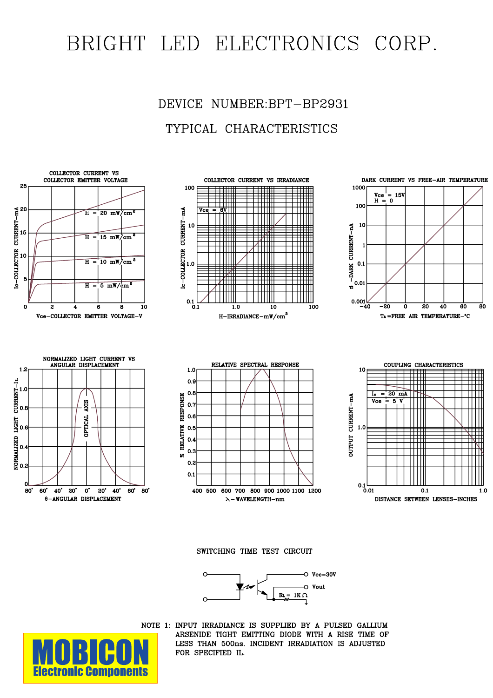# BRIGHT LED ELECTRONICS CORP.





SWITCHING TIME TEST CIRCUIT





NOTE 1: INPUT IRRADIANCE IS SUPPLIED BY A PULSED GALLIUM ARSENIDE TIGHT EMITTING DIODE WITH A RISE TIME OF LESS THAN 500ns. INCIDENT IRRADIATION IS ADJUSTED FOR SPECIFIED IL.